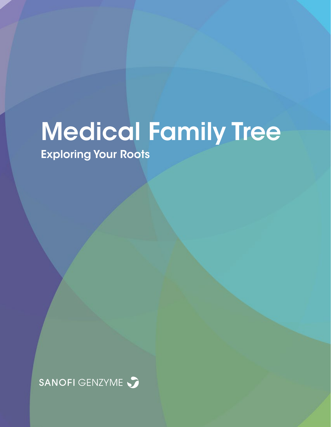# Medical Family Tree

Exploring Your Roots

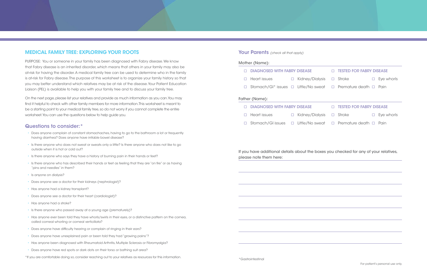# MEDICAL FAMILY TREE: EXPLORING YOUR ROOTS

PURPOSE: You or someone in your family has been diagnosed with Fabry disease. We know that Fabry disease is an inherited disorder, which means that others in your family may also be at-risk for having the disorder. A medical family tree can be used to determine who in the family is at-risk for Fabry disease. The purpose of this worksheet is to organize your family history so that you may better understand which relatives may be at risk of the disease. Your Patient Education Liaison (PEL) is available to help you with your family tree and to discuss your family tree.

On the next page, please list your relatives and provide as much information as you can. You may find it helpful to check with other family members for more information. This worksheet is meant to be a starting point to your medical family tree, so do not worry if you cannot complete the entire worksheet. You can use the questions below to help guide you.

#### Questions to consider:\*

- Does anyone complain of constant stomachaches, having to go to the bathroom a lot or frequently having diarrhea? Does anyone have irritable bowel disease?
- Is there anyone who does not sweat or sweats only a little? Is there anyone who does not like to go outside when it is hot or cold out?
- Is there anyone who says they have a history of burning pain in their hands or feet?
- Is there anyone who has described their hands or feet as feeling that they are "on fire" or as having "pins and needles" in them?
- Is anyone on dialysis?
- Does anyone see a doctor for their kidneys (nephrologist)?
- Has anyone had a kidney transplant?
- Does anyone see a doctor for their heart (cardiologist)?
- Has anyone had a stroke?
- Is there anyone who passed away at a young age (prematurely)?
- Has anyone ever been told they have whorls/swirls in their eyes, or a distinctive pattern on the cornea, called corneal whorling or corneal verticillata?
- Does anyone have difficulty hearing or complain of ringing in their ears?
- Does anyone have unexplained pain or been told they had "growing pains"?
- Has anyone been diagnosed with Rheumatoid Arthritis, Multiple Sclerosis or Fibromyalgia?
- Does anyone have red spots or dark dots on their torso or bathing suit area?

\*If you are comfortable doing so, consider reaching out to your relatives as resources for this information.

# Your Parents *(check all that apply)*

#### Mother (Name):

- DIAGNOSED WITH FABRY DISEASE
- $\Box$  Heart issues  $\Box$  Kidney/D
- $\Box$  Stomach/GI\* issues  $\Box$  Little/No

#### Father (Name):

- DIAGNOSED WITH FABRY DISEASE
- $\Box$  Heart issues  $\Box$  Kidney/D
- $\Box$  Stomach/GI issues  $\Box$  Little/No

If you have additional details about the boxes you checked for any of your relatives, please note them here:

For patient's personal use only.

\*Gastrointestinal

|                           | <b>IN TESTED FOR FABRY DISEASE</b>       |                      |
|---------------------------|------------------------------------------|----------------------|
| $Di$ alysis $\Box$ Stroke |                                          | $\square$ Eye whorls |
|                           | sweat $\Box$ Premature death $\Box$ Pain |                      |
|                           |                                          |                      |
|                           | $\Box$ TESTED FOR FABRY DISEASE          |                      |
| $Di$ alysis $\Box$ Stroke |                                          | $\square$ Eye whorls |
|                           | sweat □ Premature death □ Pain           |                      |
|                           |                                          |                      |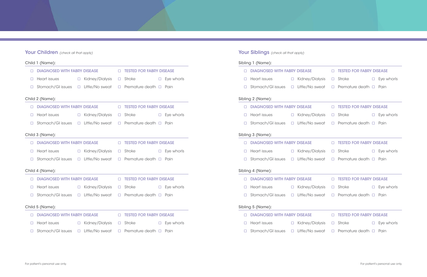# Your Children *(check all that apply)*

|                 | Child 1 (Name):                     |  |                        |                                    |                      |                   | Sibling 1 (Name):                   |                     |
|-----------------|-------------------------------------|--|------------------------|------------------------------------|----------------------|-------------------|-------------------------------------|---------------------|
|                 | <b>DIAGNOSED WITH FABRY DISEASE</b> |  |                        | <b>IN TESTED FOR FABRY DISEASE</b> |                      |                   | <b>DIAGNOSED WITH FABRY DISEASE</b> |                     |
|                 | $\Box$ Heart issues                 |  | □ Kidney/Dialysis      | $\Box$ Stroke                      | $\square$ Eye whorls |                   | $\Box$ Heart issues                 | $\Box$ Kidney/D     |
|                 | $\Box$ Stomach/GI issues            |  | $\Box$ Little/No sweat | $\Box$ Premature death $\Box$ Pain |                      |                   | $\Box$ Stomach/GI issues            | $\Box$ Little/No    |
|                 | Child 2 (Name):                     |  |                        |                                    |                      |                   | Sibling 2 (Name):                   |                     |
|                 | <b>DIAGNOSED WITH FABRY DISEASE</b> |  |                        | <b>IN TESTED FOR FABRY DISEASE</b> |                      |                   | <b>DIAGNOSED WITH FABRY DISEASE</b> |                     |
|                 | $\Box$ Heart issues                 |  | □ Kidney/Dialysis      | $\Box$ Stroke                      | $\square$ Eye whorls | $\Box$            | Heart issues                        | $\Box$ Kidney/D     |
|                 | $\Box$ Stomach/GI issues            |  | $\Box$ Little/No sweat | $\Box$ Premature death $\Box$ Pain |                      |                   | Stomach/GI issues                   | $\Box$ Little/No    |
|                 | Child 3 (Name):                     |  |                        |                                    |                      |                   | Sibling 3 (Name):                   |                     |
|                 | <b>DIAGNOSED WITH FABRY DISEASE</b> |  |                        | <b>IN TESTED FOR FABRY DISEASE</b> |                      |                   | <b>DIAGNOSED WITH FABRY DISEASE</b> |                     |
|                 | $\Box$ Heart issues                 |  | □ Kidney/Dialysis      | $\Box$ Stroke                      | $\square$ Eye whorls |                   | $\Box$ Heart issues                 | $\Box$ Kidney/D     |
|                 | $\Box$ Stomach/GI issues            |  | $\Box$ Little/No sweat | $\Box$ Premature death $\Box$ Pain |                      |                   | $\Box$ Stomach/GI issues            | $\square$ Little/No |
| Child 4 (Name): |                                     |  |                        |                                    |                      |                   | Sibling 4 (Name):                   |                     |
|                 | <b>DIAGNOSED WITH FABRY DISEASE</b> |  |                        | <b>IN TESTED FOR FABRY DISEASE</b> |                      |                   | <b>DIAGNOSED WITH FABRY DISEASE</b> |                     |
| $\Box$          | Heart issues                        |  | □ Kidney/Dialysis      | $\Box$ Stroke                      | □ Eye whorls         |                   | Heart issues                        | $\Box$ Kidney/D     |
|                 | $\Box$ Stomach/GI issues            |  | $\Box$ Little/No sweat | $\Box$ Premature death $\Box$ Pain |                      |                   | $\Box$ Stomach/GI issues            | $\Box$ Little/No    |
| Child 5 (Name): |                                     |  |                        |                                    |                      | Sibling 5 (Name): |                                     |                     |
|                 | <b>DIAGNOSED WITH FABRY DISEASE</b> |  |                        | <b>IN TESTED FOR FABRY DISEASE</b> |                      |                   | <b>DIAGNOSED WITH FABRY DISEASE</b> |                     |
|                 | $\Box$ Heart issues                 |  | □ Kidney/Dialysis      | $\Box$ Stroke                      | $\square$ Eye whorls |                   | $\Box$ Heart issues                 | $\Box$ Kidney/D     |
|                 | $\Box$ Stomach/GI issues            |  | $\Box$ Little/No sweat | $\Box$ Premature death $\Box$ Pain |                      |                   | $\Box$ Stomach/GI issues            | $\Box$ Little/No    |
|                 |                                     |  |                        |                                    |                      |                   |                                     |                     |

|                |                                                                                    |  |                                                               |  | <u> 1989 - Johann Stoff, amerikansk politiker (d. 1989)</u> |  |                      |  |  |
|----------------|------------------------------------------------------------------------------------|--|---------------------------------------------------------------|--|-------------------------------------------------------------|--|----------------------|--|--|
|                |                                                                                    |  |                                                               |  | □ DIAGNOSED WITH FABRY DISEASE □ TESTED FOR FABRY DISEASE   |  |                      |  |  |
|                | $\Box$ Heart issues $\Box$ Kidney/Dialysis $\Box$ Stroke                           |  |                                                               |  |                                                             |  | $\square$ Eye whorls |  |  |
|                | $\Box$ Stomach/GI issues $\Box$ Little/No sweat $\Box$ Premature death $\Box$ Pain |  |                                                               |  |                                                             |  |                      |  |  |
|                | ling 2 (Name):                                                                     |  |                                                               |  |                                                             |  |                      |  |  |
|                | □ DIAGNOSED WITH FABRY DISEASE □ TESTED FOR FABRY DISEASE                          |  |                                                               |  |                                                             |  |                      |  |  |
|                | $\Box$ Heart issues $\Box$ Kidney/Dialysis $\Box$ Stroke $\Box$ Eye whorls         |  |                                                               |  |                                                             |  |                      |  |  |
|                | $\Box$ Stomach/GI issues $\Box$ Little/No sweat $\Box$ Premature death $\Box$ Pain |  |                                                               |  |                                                             |  |                      |  |  |
|                | $\lim g 3$ (Name):                                                                 |  |                                                               |  |                                                             |  |                      |  |  |
|                |                                                                                    |  |                                                               |  | □ DIAGNOSED WITH FABRY DISEASE □ TESTED FOR FABRY DISEASE   |  |                      |  |  |
|                | $\Box$ Heart issues $\Box$ Kidney/Dialysis $\Box$ Stroke $\Box$ Eye whorls         |  |                                                               |  |                                                             |  |                      |  |  |
|                | $\Box$ Stomach/GI issues $\Box$ Little/No sweat $\Box$ Premature death $\Box$ Pain |  |                                                               |  |                                                             |  |                      |  |  |
|                | ling 4 (Name):                                                                     |  | <u> 1980 - Johann Barn, mars an t-Amerikaansk politiker (</u> |  |                                                             |  |                      |  |  |
|                |                                                                                    |  |                                                               |  | □ DIAGNOSED WITH FABRY DISEASE □ TESTED FOR FABRY DISEASE   |  |                      |  |  |
|                | $\Box$ Heart issues $\Box$ Kidney/Dialysis $\Box$ Stroke $\Box$ Eye whorls         |  |                                                               |  |                                                             |  |                      |  |  |
|                | $\Box$ Stomach/GI issues $\Box$ Little/No sweat $\Box$ Premature death $\Box$ Pain |  |                                                               |  |                                                             |  |                      |  |  |
| ling 5 (Name): |                                                                                    |  |                                                               |  |                                                             |  |                      |  |  |
|                | □ DIAGNOSED WITH FABRY DISEASE □ TESTED FOR FABRY DISEASE                          |  |                                                               |  |                                                             |  |                      |  |  |
|                | $\Box$ Heart issues $\Box$ Kidney/Dialysis $\Box$ Stroke $\Box$ Eye whorls         |  |                                                               |  |                                                             |  |                      |  |  |
|                | $\Box$ Stomach/GI issues $\Box$ Little/No sweat $\Box$ Premature death $\Box$ Pain |  |                                                               |  |                                                             |  |                      |  |  |

Your Siblings *(check all that apply)*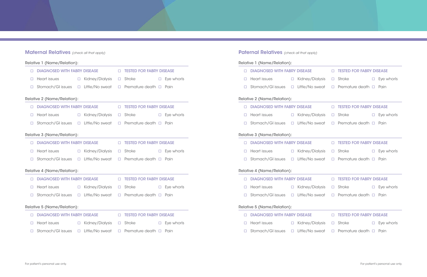# **Maternal Relatives** (check all that apply)

|                                    | Relative 1 (Name/Relation):         |  |                        |        |                                    |  |                             |                                    | Relative 1 (Name/Relation):         |        |                 |
|------------------------------------|-------------------------------------|--|------------------------|--------|------------------------------------|--|-----------------------------|------------------------------------|-------------------------------------|--------|-----------------|
|                                    | <b>DIAGNOSED WITH FABRY DISEASE</b> |  |                        | $\Box$ | <b>TESTED FOR FABRY DISEASE</b>    |  |                             |                                    | <b>DIAGNOSED WITH FABRY DISEASE</b> |        |                 |
| $\Box$                             | Heart issues                        |  | □ Kidney/Dialysis      |        | $\Box$ Stroke                      |  | $\square$ Eye whorls        | $\Box$                             | <b>Heart issues</b>                 |        | $\Box$ Kidney/D |
|                                    | Stomach/GI issues                   |  | $\Box$ Little/No sweat |        | $\Box$ Premature death $\Box$ Pain |  |                             | $\Box$                             | Stomach/GI issues                   | $\Box$ | Little/No       |
|                                    | <b>Relative 2 (Name/Relation):</b>  |  |                        |        |                                    |  | Relative 2 (Name/Relation): |                                    |                                     |        |                 |
|                                    | <b>DIAGNOSED WITH FABRY DISEASE</b> |  |                        |        | <b>IN TESTED FOR FABRY DISEASE</b> |  |                             |                                    | <b>DIAGNOSED WITH FABRY DISEASE</b> |        |                 |
| $\Box$                             | <b>Heart issues</b>                 |  | □ Kidney/Dialysis      |        | $\square$ Stroke                   |  | $\square$ Eye whorls        | $\Box$                             | <b>Heart issues</b>                 |        | □ Kidney/D      |
|                                    | Stomach/GI issues                   |  | $\Box$ Little/No sweat |        | $\Box$ Premature death $\Box$ Pain |  |                             |                                    | Stomach/GI issues                   | $\Box$ | Little/No       |
|                                    | Relative 3 (Name/Relation):         |  |                        |        |                                    |  |                             |                                    | Relative 3 (Name/Relation):         |        |                 |
| $\Box$                             | <b>DIAGNOSED WITH FABRY DISEASE</b> |  |                        |        | <b>IN TESTED FOR FABRY DISEASE</b> |  |                             |                                    | <b>DIAGNOSED WITH FABRY DISEASE</b> |        |                 |
| $\Box$                             | Heart issues                        |  | □ Kidney/Dialysis      |        | $\square$ Stroke                   |  | $\square$ Eye whorls        | $\Box$                             | Heart issues                        |        | $\Box$ Kidney/D |
|                                    | Stomach/GI issues                   |  | □ Little/No sweat      |        | $\Box$ Premature death $\Box$ Pain |  |                             |                                    | Stomach/GI issues                   | $\Box$ | Little/No       |
| <b>Relative 4 (Name/Relation):</b> |                                     |  |                        |        |                                    |  |                             |                                    | Relative 4 (Name/Relation):         |        |                 |
| $\Box$                             | <b>DIAGNOSED WITH FABRY DISEASE</b> |  |                        |        | <b>IN TESTED FOR FABRY DISEASE</b> |  |                             |                                    | <b>DIAGNOSED WITH FABRY DISEASE</b> |        |                 |
| $\Box$                             | Heart issues                        |  | □ Kidney/Dialysis      |        | $\Box$ Stroke                      |  | $\square$ Eye whorls        | $\Box$                             | Heart issues                        | $\Box$ | Kidney/D        |
|                                    | Stomach/GI issues                   |  | $\Box$ Little/No sweat |        | $\Box$ Premature death $\Box$ Pain |  |                             |                                    | Stomach/GI issues                   | $\Box$ | Little/No       |
| <b>Relative 5 (Name/Relation):</b> |                                     |  |                        |        |                                    |  |                             | <b>Relative 5 (Name/Relation):</b> |                                     |        |                 |
|                                    | <b>DIAGNOSED WITH FABRY DISEASE</b> |  |                        |        | <b>IN TESTED FOR FABRY DISEASE</b> |  |                             |                                    | <b>DIAGNOSED WITH FABRY DISEASE</b> |        |                 |
| $\Box$                             | Heart issues                        |  | □ Kidney/Dialysis      |        | $\square$ Stroke                   |  | $\square$ Eye whorls        | $\Box$                             | Heart issues                        |        | $\Box$ Kidney/D |
|                                    | Stomach/GI issues                   |  | □ Little/No sweat      | $\Box$ | Premature death $\Box$             |  | Pain                        |                                    | Stomach/GI issues                   | $\Box$ | Little/No       |

**Paternal Relatives** (check all that apply)

| lative 1 (Name/Relation): |                                                                             |        |                        |        |                                    |        |                      |  |  |  |
|---------------------------|-----------------------------------------------------------------------------|--------|------------------------|--------|------------------------------------|--------|----------------------|--|--|--|
| $\Box$                    | <b>DIAGNOSED WITH FABRY DISEASE</b>                                         |        |                        |        | <b>ID TESTED FOR FABRY DISEASE</b> |        |                      |  |  |  |
| $\Box$                    | Heart issues                                                                |        | $\Box$ Kidney/Dialysis |        | $\Box$ Stroke                      |        | $\square$ Eye whorls |  |  |  |
| $\Box$                    | Stomach/GI issues □ Little/No sweat                                         |        |                        | $\Box$ | Premature death □ Pain             |        |                      |  |  |  |
| lative 2 (Name/Relation): |                                                                             |        |                        |        |                                    |        |                      |  |  |  |
| $\Box$                    | <b>DIAGNOSED WITH FABRY DISEASE</b>                                         |        |                        | $\Box$ | <b>TESTED FOR FABRY DISEASE</b>    |        |                      |  |  |  |
| $\Box$                    | Heart issues                                                                |        | □ Kidney/Dialysis      | $\Box$ | Stroke                             | $\Box$ | Eye whorls           |  |  |  |
| $\Box$                    | Stomach/GI issues □ Little/No sweat □                                       |        |                        |        | Premature death <b>D</b> Pain      |        |                      |  |  |  |
|                           | lative 3 (Name/Relation):                                                   |        |                        |        |                                    |        |                      |  |  |  |
| $\Box$                    | <b>DIAGNOSED WITH FABRY DISEASE</b>                                         |        |                        |        | <b>DESTED FOR FABRY DISEASE</b>    |        |                      |  |  |  |
| $\Box$                    | Heart issues                                                                | $\Box$ | Kidney/Dialysis        | $\Box$ | <b>Stroke Stroke</b>               |        | $\square$ Eye whorls |  |  |  |
| $\Box$                    | Stomach/GI issues $\Box$ Little/No sweat $\Box$ Premature death $\Box$ Pain |        |                        |        |                                    |        |                      |  |  |  |
|                           | lative 4 (Name/Relation):                                                   |        |                        |        |                                    |        |                      |  |  |  |
| $\Box$                    | <b>DIAGNOSED WITH FABRY DISEASE</b>                                         |        |                        | $\Box$ | <b>TESTED FOR FABRY DISEASE</b>    |        |                      |  |  |  |
| $\Box$                    | Heart issues                                                                | $\Box$ | Kidney/Dialysis        | $\Box$ | <b>Stroke Stroke</b>               | $\Box$ | Eye whorls           |  |  |  |
| $\Box$                    | Stomach/GI issues $\Box$ Little/No sweat                                    |        |                        | $\Box$ | Premature death □ Pain             |        |                      |  |  |  |
| lative 5 (Name/Relation): |                                                                             |        |                        |        |                                    |        |                      |  |  |  |
| $\Box$                    | <b>DIAGNOSED WITH FABRY DISEASE</b>                                         |        |                        | $\Box$ | <b>TESTED FOR FABRY DISEASE</b>    |        |                      |  |  |  |
| $\Box$                    | Heart issues                                                                |        | $\Box$ Kidney/Dialysis | $\Box$ | <b>Stroke</b>                      | $\Box$ | Eye whorls           |  |  |  |
| $\Box$                    | Stomach/GI issues                                                           |        | $\Box$ Little/No sweat |        | $\Box$ Premature death $\Box$ Pain |        |                      |  |  |  |
|                           |                                                                             |        |                        |        |                                    |        |                      |  |  |  |